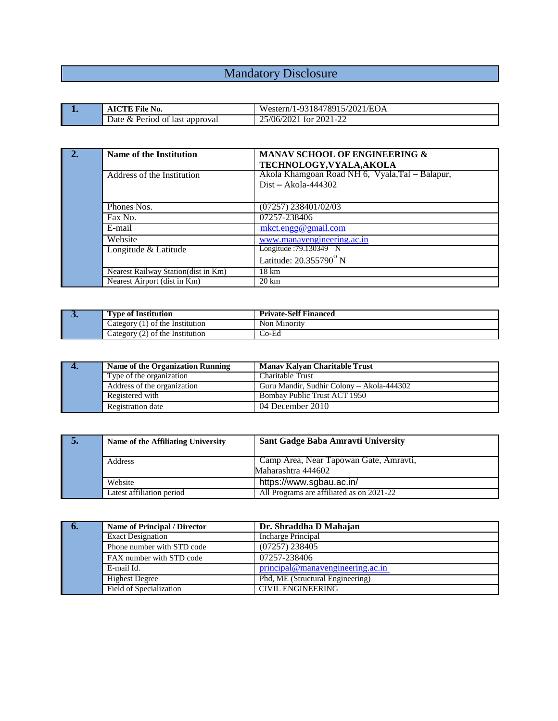## Mandatory Disclosure and the contract of the contract of the contract of the contract of the contract of the contract of the contract of the contract of the contract of the contract of the contract of the contract of the c

| <b>AICTE File No.</b>                    | '1-9318478915/2021/EOA<br>Western/1                  |  |
|------------------------------------------|------------------------------------------------------|--|
| Date & l<br>Period of<br>t last approval | $^{7/2021}$<br>$\cap$<br>$2021 - 2$<br>25/06/<br>for |  |

| 2. | Name of the Institution             | <b>MANAV SCHOOL OF ENGINEERING &amp;</b><br>TECHNOLOGY, VYALA, AKOLA |
|----|-------------------------------------|----------------------------------------------------------------------|
|    | Address of the Institution          | Akola Khamgoan Road NH 6, Vyala, Tal – Balapur,                      |
|    |                                     | $Dist - Akola - 444302$                                              |
|    |                                     |                                                                      |
|    | Phones Nos.                         | $(07257)$ 238401/02/03                                               |
|    | Fax No.                             | 07257-238406                                                         |
|    | E-mail                              | mkct.engg@gmail.com                                                  |
|    | Website                             | www.manavengineering.ac.in                                           |
|    | Longitude & Latitude                | Longitude: 79.130349 <sup>*</sup> N                                  |
|    |                                     | Latitude: 20.355790 <sup>°</sup> N                                   |
|    | Nearest Railway Station(dist in Km) | $18 \text{ km}$                                                      |
|    | Nearest Airport (dist in Km)        | $20 \mathrm{km}$                                                     |

| v | l'vne of Institution                                       | <b>Private-Self Financed</b> |
|---|------------------------------------------------------------|------------------------------|
|   | of the Institution<br>Lategory                             | - Non<br>Minority            |
|   | Category<br>of the Institution<br>$\overline{\phantom{a}}$ | Co-Ed                        |

| Name of the Organization Running | <b>Manav Kalvan Charitable Trust</b>      |
|----------------------------------|-------------------------------------------|
| Type of the organization         | Charitable Trust                          |
| Address of the organization      | Guru Mandir, Sudhir Colony – Akola-444302 |
| Registered with                  | Bombay Public Trust ACT 1950              |
| Registration date                | 04 December 2010                          |

| Ð. | Name of the Affiliating University | Sant Gadge Baba Amravti University                           |
|----|------------------------------------|--------------------------------------------------------------|
|    | Address                            | Camp Area, Near Tapowan Gate, Amravti,<br>Maharashtra 444602 |
|    | Website                            | https://www.sgbau.ac.in/                                     |
|    | Latest affiliation period          | All Programs are affiliated as on 2021-22                    |

| <b>Name of Principal / Director</b> | Dr. Shraddha D Mahajan           |
|-------------------------------------|----------------------------------|
| <b>Exact Designation</b>            | Incharge Principal               |
| Phone number with STD code          | $(07257)$ 238405                 |
| FAX number with STD code            | 07257-238406                     |
| E-mail Id.                          | principal@manavengineering.ac.in |
| <b>Highest Degree</b>               | Phd, ME (Structural Engineering) |
| Field of Specialization             | <b>CIVIL ENGINEERING</b>         |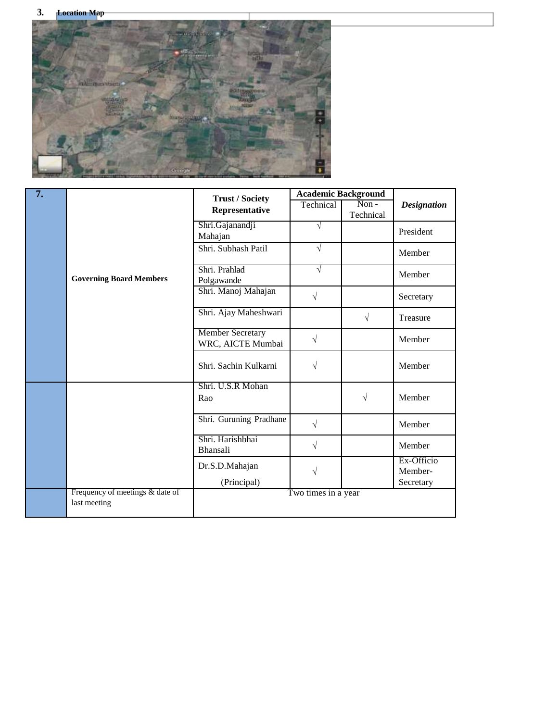

| $\overline{7}$ . |                                                 | <b>Trust / Society</b>                       | <b>Academic Background</b> |                      |                       |
|------------------|-------------------------------------------------|----------------------------------------------|----------------------------|----------------------|-----------------------|
|                  |                                                 | Representative                               | Technical                  | $Non -$<br>Technical | <b>Designation</b>    |
|                  |                                                 | Shri.Gajanandji<br>Mahajan                   | $\sqrt{ }$                 |                      | President             |
|                  |                                                 | Shri. Subhash Patil                          | $\sqrt{ }$                 |                      | Member                |
|                  | <b>Governing Board Members</b>                  | Shri. Prahlad<br>Polgawande                  | $\sqrt{ }$                 |                      | Member                |
|                  |                                                 | Shri. Manoj Mahajan                          | $\sqrt{}$                  |                      | Secretary             |
|                  |                                                 | Shri. Ajay Maheshwari                        |                            | $\sqrt{ }$           | Treasure              |
|                  |                                                 | <b>Member Secretary</b><br>WRC, AICTE Mumbai | $\sqrt{}$                  |                      | Member                |
|                  |                                                 | Shri. Sachin Kulkarni                        | $\sqrt{}$                  |                      | Member                |
|                  |                                                 | Shri. U.S.R Mohan<br>Rao                     |                            | $\sqrt{}$            | Member                |
|                  |                                                 | Shri. Guruning Pradhane                      | $\sqrt{}$                  |                      | Member                |
|                  |                                                 | Shri. Harishbhai<br>Bhansali                 | $\sqrt{}$                  |                      | Member                |
|                  |                                                 | Dr.S.D.Mahajan                               | V                          |                      | Ex-Officio<br>Member- |
|                  |                                                 | (Principal)                                  |                            |                      | Secretary             |
|                  | Frequency of meetings & date of<br>last meeting |                                              | Two times in a year        |                      |                       |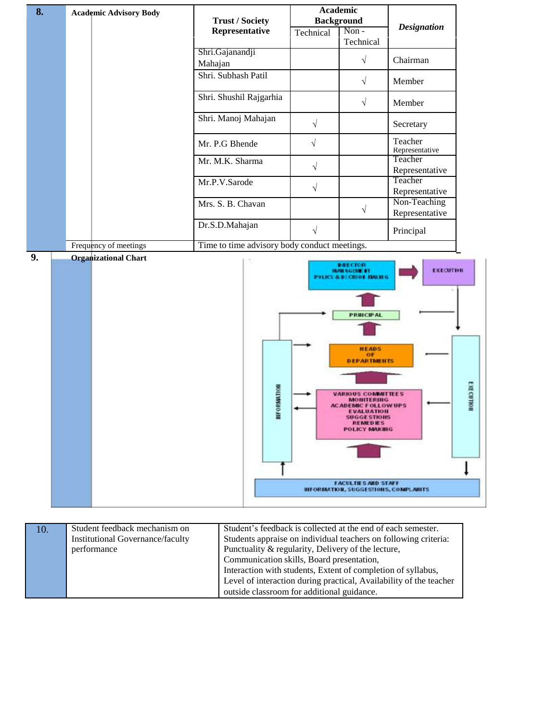| 8. | <b>Academic Advisory Body</b> | <b>Trust / Society</b>                                         | Academic<br><b>Background</b> |                                                                                                                                                                                                                                                                                          |                                      |
|----|-------------------------------|----------------------------------------------------------------|-------------------------------|------------------------------------------------------------------------------------------------------------------------------------------------------------------------------------------------------------------------------------------------------------------------------------------|--------------------------------------|
|    |                               | Representative                                                 | Technical                     | Non-<br>Technical                                                                                                                                                                                                                                                                        | <b>Designation</b>                   |
|    |                               | Shri.Gajanandji<br>Mahajan                                     |                               | $\sqrt{}$                                                                                                                                                                                                                                                                                | Chairman                             |
|    |                               | Shri. Subhash Patil                                            |                               | $\sqrt{}$                                                                                                                                                                                                                                                                                | Member                               |
|    |                               | Shri. Shushil Rajgarhia                                        |                               | $\sqrt{}$                                                                                                                                                                                                                                                                                | Member                               |
|    |                               | Shri. Manoj Mahajan                                            | $\sqrt{ }$                    |                                                                                                                                                                                                                                                                                          | Secretary                            |
|    |                               | Mr. P.G Bhende                                                 | $\sqrt{}$                     |                                                                                                                                                                                                                                                                                          | Teacher<br>Representative            |
|    |                               | Mr. M.K. Sharma                                                | $\sqrt{}$                     |                                                                                                                                                                                                                                                                                          | Teacher<br>Representative            |
|    |                               | Mr.P.V.Sarode                                                  | $\sqrt{ }$                    |                                                                                                                                                                                                                                                                                          | Teacher<br>Representative            |
|    |                               | Mrs. S. B. Chavan                                              |                               | $\sqrt{}$                                                                                                                                                                                                                                                                                | Non-Teaching<br>Representative       |
|    | Frequency of meetings         | Dr.S.D.Mahajan<br>Time to time advisory body conduct meetings. | $\sqrt{ }$                    |                                                                                                                                                                                                                                                                                          | Principal                            |
| 9. | <b>Organizational Chart</b>   | ORMATION<br>둘                                                  |                               | <b>DRECTOR</b><br><b>MAN NGEME BT</b><br>POLICY & DECRIPT MACHIN<br><b>PRINCIPAL</b><br><b>HEADS</b><br>or<br><b>DEPARTMENTS</b><br><b>VARIOUS COMMITTEES</b><br><b>MONITERING</b><br><b>ACADEMIC FOLLOW UPS</b><br>EVALUATION<br><b>SUGGESTIONS</b><br><b>REMEDIES</b><br>POLICY MAKING | <b>EXECUTION</b><br><b>EXECUTION</b> |
|    |                               |                                                                |                               | <b>FACULTIES AND STAFF</b><br><b>HEORMATION, SUGGESTIONS, COMPLAINTS</b>                                                                                                                                                                                                                 |                                      |
|    |                               |                                                                |                               |                                                                                                                                                                                                                                                                                          |                                      |

| 10. | Student feedback mechanism on           | Student's feedback is collected at the end of each semester.       |
|-----|-----------------------------------------|--------------------------------------------------------------------|
|     | <b>Institutional Governance/faculty</b> | Students appraise on individual teachers on following criteria:    |
|     | performance                             | Punctuality & regularity, Delivery of the lecture,                 |
|     |                                         | Communication skills, Board presentation,                          |
|     |                                         | Interaction with students, Extent of completion of syllabus,       |
|     |                                         | Level of interaction during practical, Availability of the teacher |
|     |                                         | outside classroom for additional guidance.                         |